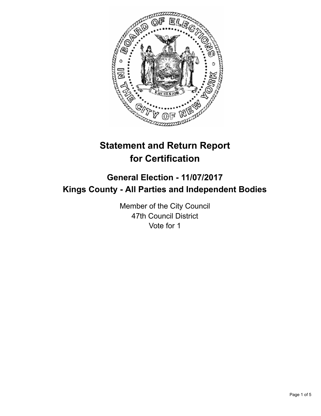

# **Statement and Return Report for Certification**

## **General Election - 11/07/2017 Kings County - All Parties and Independent Bodies**

Member of the City Council 47th Council District Vote for 1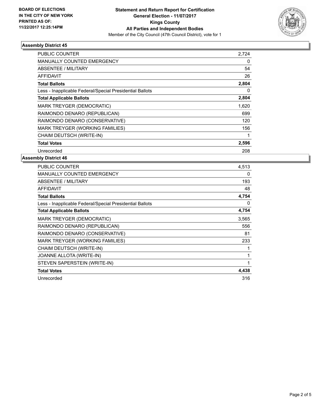

### **Assembly District 45**

| <b>PUBLIC COUNTER</b>                                    | 2.724 |
|----------------------------------------------------------|-------|
| <b>MANUALLY COUNTED EMERGENCY</b>                        | 0     |
| ABSENTEE / MILITARY                                      | 54    |
| <b>AFFIDAVIT</b>                                         | 26    |
| <b>Total Ballots</b>                                     | 2,804 |
| Less - Inapplicable Federal/Special Presidential Ballots | 0     |
| <b>Total Applicable Ballots</b>                          | 2,804 |
| <b>MARK TREYGER (DEMOCRATIC)</b>                         | 1,620 |
| RAIMONDO DENARO (REPUBLICAN)                             | 699   |
| RAIMONDO DENARO (CONSERVATIVE)                           | 120   |
| MARK TREYGER (WORKING FAMILIES)                          | 156   |
| CHAIM DEUTSCH (WRITE-IN)                                 |       |
| <b>Total Votes</b>                                       | 2,596 |
| Unrecorded                                               | 208   |

### **Assembly District 46**

| <b>PUBLIC COUNTER</b>                                    | 4,513 |
|----------------------------------------------------------|-------|
| <b>MANUALLY COUNTED EMERGENCY</b>                        | 0     |
| <b>ABSENTEE / MILITARY</b>                               | 193   |
| <b>AFFIDAVIT</b>                                         | 48    |
| <b>Total Ballots</b>                                     | 4,754 |
| Less - Inapplicable Federal/Special Presidential Ballots | 0     |
| <b>Total Applicable Ballots</b>                          | 4,754 |
| MARK TREYGER (DEMOCRATIC)                                | 3,565 |
| RAIMONDO DENARO (REPUBLICAN)                             | 556   |
| RAIMONDO DENARO (CONSERVATIVE)                           | 81    |
| <b>MARK TREYGER (WORKING FAMILIES)</b>                   | 233   |
| CHAIM DEUTSCH (WRITE-IN)                                 |       |
| JOANNE ALLOTA (WRITE-IN)                                 | 1     |
| STEVEN SAPERSTEIN (WRITE-IN)                             | 1     |
| <b>Total Votes</b>                                       | 4,438 |
| Unrecorded                                               | 316   |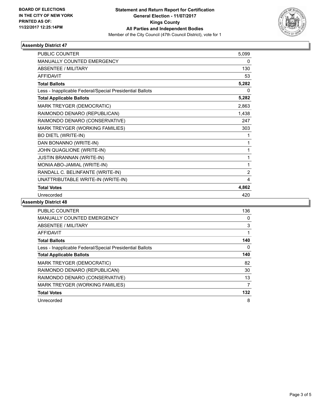

### **Assembly District 47**

| <b>PUBLIC COUNTER</b>                                    | 5,099          |
|----------------------------------------------------------|----------------|
| <b>MANUALLY COUNTED EMERGENCY</b>                        | 0              |
| <b>ABSENTEE / MILITARY</b>                               | 130            |
| <b>AFFIDAVIT</b>                                         | 53             |
| <b>Total Ballots</b>                                     | 5,282          |
| Less - Inapplicable Federal/Special Presidential Ballots | 0              |
| <b>Total Applicable Ballots</b>                          | 5,282          |
| MARK TREYGER (DEMOCRATIC)                                | 2,863          |
| RAIMONDO DENARO (REPUBLICAN)                             | 1,438          |
| RAIMONDO DENARO (CONSERVATIVE)                           | 247            |
| MARK TREYGER (WORKING FAMILIES)                          | 303            |
| <b>BO DIETL (WRITE-IN)</b>                               | 1              |
| DAN BONANNO (WRITE-IN)                                   | 1              |
| JOHN QUAGLIONE (WRITE-IN)                                | 1              |
| <b>JUSTIN BRANNAN (WRITE-IN)</b>                         | 1              |
| MONIA ABO-JAMIAL (WRITE-IN)                              | 1              |
| RANDALL C. BELINFANTE (WRITE-IN)                         | $\overline{2}$ |
| UNATTRIBUTABLE WRITE-IN (WRITE-IN)                       | 4              |
| <b>Total Votes</b>                                       | 4,862          |
| Unrecorded                                               | 420            |

### **Assembly District 48**

| <b>PUBLIC COUNTER</b>                                    | 136      |
|----------------------------------------------------------|----------|
| <b>MANUALLY COUNTED EMERGENCY</b>                        | 0        |
| ABSENTEE / MILITARY                                      | 3        |
| AFFIDAVIT                                                |          |
| <b>Total Ballots</b>                                     | 140      |
| Less - Inapplicable Federal/Special Presidential Ballots | $\Omega$ |
| <b>Total Applicable Ballots</b>                          | 140      |
| <b>MARK TREYGER (DEMOCRATIC)</b>                         | 82       |
| RAIMONDO DENARO (REPUBLICAN)                             | 30       |
| RAIMONDO DENARO (CONSERVATIVE)                           | 13       |
| MARK TREYGER (WORKING FAMILIES)                          | 7        |
| <b>Total Votes</b>                                       | 132      |
| Unrecorded                                               | 8        |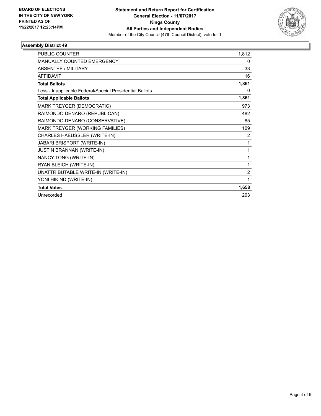

### **Assembly District 49**

| <b>PUBLIC COUNTER</b>                                    | 1,812          |
|----------------------------------------------------------|----------------|
| <b>MANUALLY COUNTED EMERGENCY</b>                        | 0              |
| <b>ABSENTEE / MILITARY</b>                               | 33             |
| <b>AFFIDAVIT</b>                                         | 16             |
| <b>Total Ballots</b>                                     | 1,861          |
| Less - Inapplicable Federal/Special Presidential Ballots | 0              |
| <b>Total Applicable Ballots</b>                          | 1,861          |
| MARK TREYGER (DEMOCRATIC)                                | 973            |
| RAIMONDO DENARO (REPUBLICAN)                             | 482            |
| RAIMONDO DENARO (CONSERVATIVE)                           | 85             |
| MARK TREYGER (WORKING FAMILIES)                          | 109            |
| CHARLES HAEUSSLER (WRITE-IN)                             | 2              |
| <b>JABARI BRISPORT (WRITE-IN)</b>                        | 1              |
| <b>JUSTIN BRANNAN (WRITE-IN)</b>                         | 1              |
| NANCY TONG (WRITE-IN)                                    | 1              |
| RYAN BLEICH (WRITE-IN)                                   | 1              |
| UNATTRIBUTABLE WRITE-IN (WRITE-IN)                       | $\overline{2}$ |
| YONI HIKIND (WRITE-IN)                                   | 1              |
| <b>Total Votes</b>                                       | 1,658          |
| Unrecorded                                               | 203            |